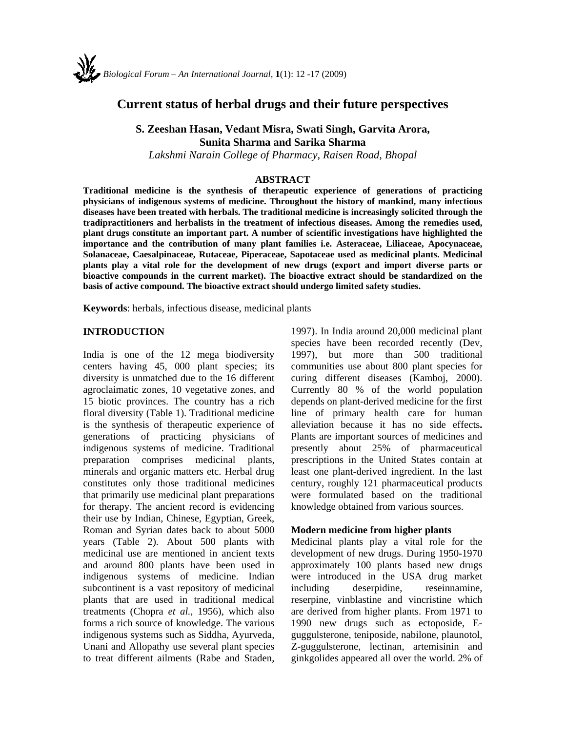

# **Current status of herbal drugs and their future perspectives**

**S. Zeeshan Hasan, Vedant Misra, Swati Singh, Garvita Arora, Sunita Sharma and Sarika Sharma** 

*Lakshmi Narain College of Pharmacy, Raisen Road, Bhopal* 

## **ABSTRACT**

**Traditional medicine is the synthesis of therapeutic experience of generations of practicing physicians of indigenous systems of medicine. Throughout the history of mankind, many infectious diseases have been treated with herbals. The traditional medicine is increasingly solicited through the tradipractitioners and herbalists in the treatment of infectious diseases. Among the remedies used, plant drugs constitute an important part. A number of scientific investigations have highlighted the importance and the contribution of many plant families i.e. Asteraceae, Liliaceae, Apocynaceae, Solanaceae, Caesalpinaceae, Rutaceae, Piperaceae, Sapotaceae used as medicinal plants. Medicinal plants play a vital role for the development of new drugs (export and import diverse parts or bioactive compounds in the current market). The bioactive extract should be standardized on the basis of active compound. The bioactive extract should undergo limited safety studies.** 

**Keywords**: herbals, infectious disease, medicinal plants

#### **INTRODUCTION**

India is one of the 12 mega biodiversity centers having 45, 000 plant species; its diversity is unmatched due to the 16 different agroclaimatic zones, 10 vegetative zones, and 15 biotic provinces. The country has a rich floral diversity (Table 1). Traditional medicine is the synthesis of therapeutic experience of generations of practicing physicians of indigenous systems of medicine. Traditional preparation comprises medicinal plants, minerals and organic matters etc. Herbal drug constitutes only those traditional medicines that primarily use medicinal plant preparations for therapy. The ancient record is evidencing their use by Indian, Chinese, Egyptian, Greek, Roman and Syrian dates back to about 5000 years (Table 2). About 500 plants with medicinal use are mentioned in ancient texts and around 800 plants have been used in indigenous systems of medicine. Indian subcontinent is a vast repository of medicinal plants that are used in traditional medical treatments (Chopra *et al.,* 1956), which also forms a rich source of knowledge. The various indigenous systems such as Siddha, Ayurveda, Unani and Allopathy use several plant species to treat different ailments (Rabe and Staden,

1997). In India around 20,000 medicinal plant species have been recorded recently (Dev, 1997), but more than 500 traditional communities use about 800 plant species for curing different diseases (Kamboj, 2000). Currently 80 % of the world population depends on plant-derived medicine for the first line of primary health care for human alleviation because it has no side effects**.**  Plants are important sources of medicines and presently about 25% of pharmaceutical prescriptions in the United States contain at least one plant-derived ingredient. In the last century, roughly 121 pharmaceutical products were formulated based on the traditional knowledge obtained from various sources.

#### **Modern medicine from higher plants**

Medicinal plants play a vital role for the development of new drugs. During 1950-1970 approximately 100 plants based new drugs were introduced in the USA drug market including deserpidine, reseinnamine, reserpine, vinblastine and vincristine which are derived from higher plants. From 1971 to 1990 new drugs such as ectoposide, Eguggulsterone, teniposide, nabilone, plaunotol, Z-guggulsterone, lectinan, artemisinin and ginkgolides appeared all over the world. 2% of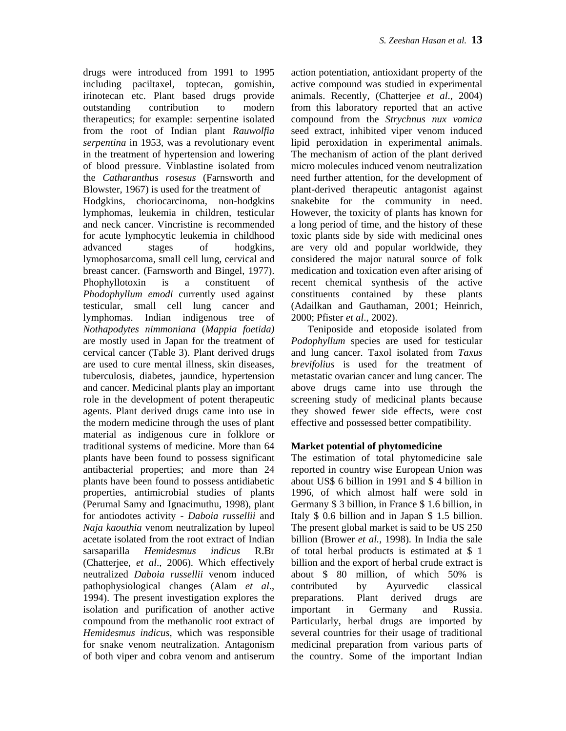drugs were introduced from 1991 to 1995 including paciltaxel, toptecan, gomishin, irinotecan etc. Plant based drugs provide outstanding contribution to modern therapeutics; for example: serpentine isolated from the root of Indian plant *Rauwolfia serpentina* in 1953, was a revolutionary event in the treatment of hypertension and lowering of blood pressure. Vinblastine isolated from the *Catharanthus rosesus* (Farnsworth and Blowster, 1967) is used for the treatment of Hodgkins, choriocarcinoma, non-hodgkins lymphomas, leukemia in children, testicular and neck cancer. Vincristine is recommended for acute lymphocytic leukemia in childhood advanced stages of hodgkins, lymophosarcoma, small cell lung, cervical and breast cancer. (Farnsworth and Bingel, 1977). Phophyllotoxin is a constituent of *Phodophyllum emodi* currently used against testicular, small cell lung cancer and lymphomas. Indian indigenous tree of *Nothapodytes nimmoniana* (*Mappia foetida)*  are mostly used in Japan for the treatment of cervical cancer (Table 3). Plant derived drugs are used to cure mental illness, skin diseases, tuberculosis, diabetes, jaundice, hypertension and cancer. Medicinal plants play an important role in the development of potent therapeutic agents. Plant derived drugs came into use in the modern medicine through the uses of plant material as indigenous cure in folklore or traditional systems of medicine. More than 64 plants have been found to possess significant antibacterial properties; and more than 24 plants have been found to possess antidiabetic properties, antimicrobial studies of plants (Perumal Samy and Ignacimuthu, 1998), plant for antiodotes activity - *Daboia russellii* and *Naja kaouthia* venom neutralization by lupeol acetate isolated from the root extract of Indian sarsaparilla *Hemidesmus indicus* R.Br (Chatterjee, *et al*., 2006). Which effectively neutralized *Daboia russellii* venom induced pathophysiological changes (Alam *et al*., 1994). The present investigation explores the isolation and purification of another active compound from the methanolic root extract of *Hemidesmus indicus*, which was responsible for snake venom neutralization. Antagonism of both viper and cobra venom and antiserum action potentiation, antioxidant property of the active compound was studied in experimental animals. Recently, (Chatterjee *et al*., 2004) from this laboratory reported that an active compound from the *Strychnus nux vomica*  seed extract, inhibited viper venom induced lipid peroxidation in experimental animals. The mechanism of action of the plant derived micro molecules induced venom neutralization need further attention, for the development of plant-derived therapeutic antagonist against snakebite for the community in need. However, the toxicity of plants has known for a long period of time, and the history of these toxic plants side by side with medicinal ones are very old and popular worldwide, they considered the major natural source of folk medication and toxication even after arising of recent chemical synthesis of the active constituents contained by these plants (Adailkan and Gauthaman, 2001; Heinrich, 2000; Pfister *et al*., 2002).

Teniposide and etoposide isolated from *Podophyllum* species are used for testicular and lung cancer. Taxol isolated from *Taxus brevifolius* is used for the treatment of metastatic ovarian cancer and lung cancer. The above drugs came into use through the screening study of medicinal plants because they showed fewer side effects, were cost effective and possessed better compatibility.

## **Market potential of phytomedicine**

The estimation of total phytomedicine sale reported in country wise European Union was about US\$ 6 billion in 1991 and \$ 4 billion in 1996, of which almost half were sold in Germany \$ 3 billion, in France \$ 1.6 billion, in Italy \$ 0.6 billion and in Japan \$ 1.5 billion. The present global market is said to be US 250 billion (Brower *et al.,* 1998). In India the sale of total herbal products is estimated at \$ 1 billion and the export of herbal crude extract is about \$ 80 million, of which 50% is contributed by Ayurvedic classical preparations. Plant derived drugs are important in Germany and Russia. Particularly, herbal drugs are imported by several countries for their usage of traditional medicinal preparation from various parts of the country. Some of the important Indian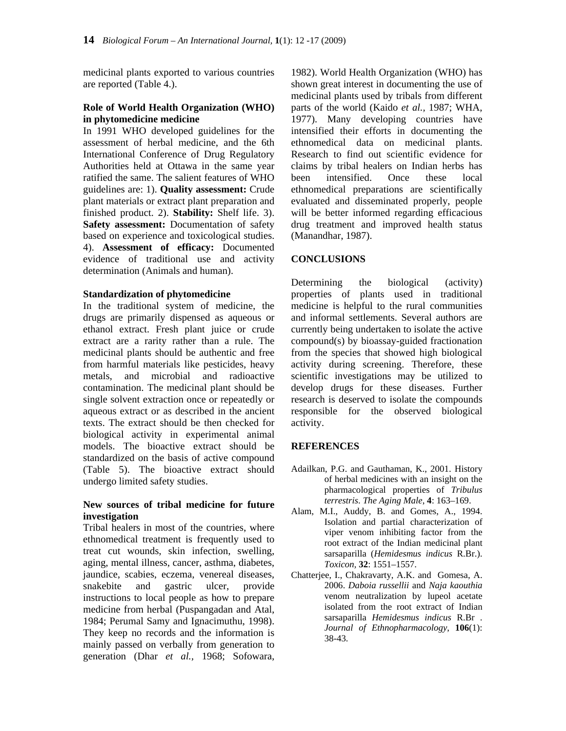medicinal plants exported to various countries are reported (Table 4.).

#### **Role of World Health Organization (WHO) in phytomedicine medicine**

In 1991 WHO developed guidelines for the assessment of herbal medicine, and the 6th International Conference of Drug Regulatory Authorities held at Ottawa in the same year ratified the same. The salient features of WHO guidelines are: 1). **Quality assessment:** Crude plant materials or extract plant preparation and finished product. 2). **Stability:** Shelf life. 3). **Safety assessment:** Documentation of safety based on experience and toxicological studies. 4). **Assessment of efficacy:** Documented evidence of traditional use and activity determination (Animals and human).

### **Standardization of phytomedicine**

In the traditional system of medicine, the drugs are primarily dispensed as aqueous or ethanol extract. Fresh plant juice or crude extract are a rarity rather than a rule. The medicinal plants should be authentic and free from harmful materials like pesticides, heavy metals, and microbial and radioactive contamination. The medicinal plant should be single solvent extraction once or repeatedly or aqueous extract or as described in the ancient texts. The extract should be then checked for biological activity in experimental animal models. The bioactive extract should be standardized on the basis of active compound (Table 5). The bioactive extract should undergo limited safety studies.

### **New sources of tribal medicine for future investigation**

Tribal healers in most of the countries, where ethnomedical treatment is frequently used to treat cut wounds, skin infection, swelling, aging, mental illness, cancer, asthma, diabetes, jaundice, scabies, eczema, venereal diseases, snakebite and gastric ulcer, provide instructions to local people as how to prepare medicine from herbal (Puspangadan and Atal, 1984; Perumal Samy and Ignacimuthu, 1998). They keep no records and the information is mainly passed on verbally from generation to generation (Dhar *et al.,* 1968; Sofowara,

1982). World Health Organization (WHO) has shown great interest in documenting the use of medicinal plants used by tribals from different parts of the world (Kaido *et al.,* 1987; WHA, 1977). Many developing countries have intensified their efforts in documenting the ethnomedical data on medicinal plants. Research to find out scientific evidence for claims by tribal healers on Indian herbs has been intensified. Once these local ethnomedical preparations are scientifically evaluated and disseminated properly, people will be better informed regarding efficacious drug treatment and improved health status (Manandhar, 1987).

### **CONCLUSIONS**

Determining the biological (activity) properties of plants used in traditional medicine is helpful to the rural communities and informal settlements. Several authors are currently being undertaken to isolate the active compound(s) by bioassay-guided fractionation from the species that showed high biological activity during screening. Therefore, these scientific investigations may be utilized to develop drugs for these diseases. Further research is deserved to isolate the compounds responsible for the observed biological activity.

#### **REFERENCES**

- Adailkan, P.G. and Gauthaman, K., 2001. History of herbal medicines with an insight on the pharmacological properties of *Tribulus terrestris*. *The Aging Male*, **4**: 163–169.
- Alam, M.I., Auddy, B. and Gomes, A., 1994. Isolation and partial characterization of viper venom inhibiting factor from the root extract of the Indian medicinal plant sarsaparilla (*Hemidesmus indicus* R.Br.). *Toxicon,* **32**: 1551–1557.
- Chatterjee, I., Chakravarty, A.K. and Gomesa, A. 2006. *Daboia russellii* and *Naja kaouthia*  venom neutralization by lupeol acetate isolated from the root extract of Indian sarsaparilla *Hemidesmus indicus* R.Br . *Journal of Ethnopharmacology*, **106**(1): 38-43.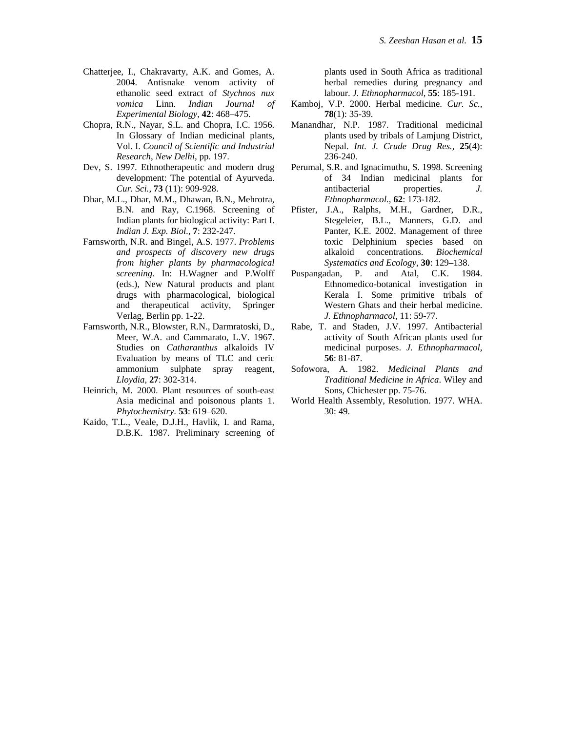- Chatterjee, I., Chakravarty, A.K. and Gomes, A. 2004. Antisnake venom activity of ethanolic seed extract of *Stychnos nux vomica* Linn. *Indian Journal of Experimental Biology*, **42**: 468–475.
- Chopra, R.N., Nayar, S.L. and Chopra, I.C. 1956. In Glossary of Indian medicinal plants, Vol. I. *Council of Scientific and Industrial Research*, *New Delhi*, pp. 197.
- Dev, S. 1997. Ethnotherapeutic and modern drug development: The potential of Ayurveda. *Cur. Sci.,* **73** (11): 909-928.
- Dhar, M.L., Dhar, M.M., Dhawan, B.N., Mehrotra, B.N. and Ray, C.1968. Screening of Indian plants for biological activity: Part I. *Indian J. Exp. Biol*., **7**: 232-247.
- Farnsworth, N.R. and Bingel, A.S. 1977. *Problems and prospects of discovery new drugs from higher plants by pharmacological screening*. In: H.Wagner and P.Wolff (eds.), New Natural products and plant drugs with pharmacological, biological and therapeutical activity, Springer Verlag, Berlin pp. 1-22.
- Farnsworth, N.R., Blowster, R.N., Darmratoski, D., Meer, W.A. and Cammarato, L.V. 1967. Studies on *Catharanthus* alkaloids IV Evaluation by means of TLC and ceric ammonium sulphate spray reagent, *Lloydia,* **27**: 302-314.
- Heinrich, M. 2000. Plant resources of south-east Asia medicinal and poisonous plants 1. *Phytochemistry*. **53**: 619–620.
- Kaido, T.L., Veale, D.J.H., Havlik, I. and Rama, D.B.K. 1987. Preliminary screening of

plants used in South Africa as traditional herbal remedies during pregnancy and labour. *J. Ethnopharmacol,* **55**: 185-191.

- Kamboj, V.P. 2000. Herbal medicine. *Cur. Sc.,*  **78**(1): 35-39.
- Manandhar, N.P. 1987. Traditional medicinal plants used by tribals of Lamjung District, Nepal. *Int. J. Crude Drug Res.,* **25**(4): 236-240.
- Perumal, S.R. and Ignacimuthu, S. 1998. Screening of 34 Indian medicinal plants for antibacterial properties. *J. Ethnopharmacol.,* **62**: 173-182.
- Pfister, J.A., Ralphs, M.H., Gardner, D.R., Stegeleier, B.L., Manners, G.D. and Panter, K.E. 2002. Management of three toxic Delphinium species based on alkaloid concentrations. *Biochemical Systematics and Ecology*, **30**: 129–138.
- Puspangadan, P. and Atal, C.K. 1984. Ethnomedico-botanical investigation in Kerala I. Some primitive tribals of Western Ghats and their herbal medicine. *J. Ethnopharmacol,* 11: 59-77.
- Rabe, T. and Staden, J.V. 1997. Antibacterial activity of South African plants used for medicinal purposes. *J. Ethnopharmacol,*  **56**: 81-87.
- Sofowora, A. 1982. *Medicinal Plants and Traditional Medicine in Africa*. Wiley and Sons, Chichester pp. 75-76.
- World Health Assembly, Resolution. 1977. WHA. 30: 49.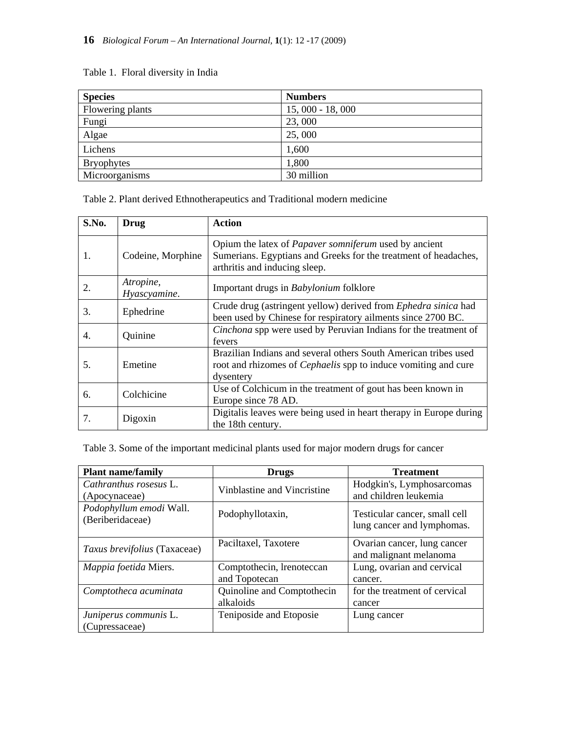# Table 1. Floral diversity in India

| <b>Species</b>    | <b>Numbers</b>    |
|-------------------|-------------------|
| Flowering plants  | $15,000 - 18,000$ |
| Fungi             | 23,000            |
| Algae             | 25,000            |
| Lichens           | 1,600             |
| <b>Bryophytes</b> | 1,800             |
| Microorganisms    | 30 million        |

Table 2. Plant derived Ethnotherapeutics and Traditional modern medicine

| S.No. | Drug                      | <b>Action</b>                                                                                                                                                    |  |
|-------|---------------------------|------------------------------------------------------------------------------------------------------------------------------------------------------------------|--|
| 1.    | Codeine, Morphine         | Opium the latex of <i>Papaver somniferum</i> used by ancient<br>Sumerians. Egyptians and Greeks for the treatment of headaches,<br>arthritis and inducing sleep. |  |
| 2.    | Atropine,<br>Hyascyamine. | Important drugs in Babylonium folklore                                                                                                                           |  |
| 3.    | Ephedrine                 | Crude drug (astringent yellow) derived from Ephedra sinica had<br>been used by Chinese for respiratory ailments since 2700 BC.                                   |  |
| 4.    | Quinine                   | Cinchona spp were used by Peruvian Indians for the treatment of<br>fevers                                                                                        |  |
| 5.    | Emetine                   | Brazilian Indians and several others South American tribes used<br>root and rhizomes of <i>Cephaelis</i> spp to induce vomiting and cure<br>dysentery            |  |
| 6.    | Colchicine                | Use of Colchicum in the treatment of gout has been known in<br>Europe since 78 AD.                                                                               |  |
| 7.    | Digoxin                   | Digitalis leaves were being used in heart therapy in Europe during<br>the 18th century.                                                                          |  |

Table 3. Some of the important medicinal plants used for major modern drugs for cancer

| <b>Plant name/family</b>                    | <b>Drugs</b>                               | <b>Treatment</b>                                            |  |
|---------------------------------------------|--------------------------------------------|-------------------------------------------------------------|--|
| Cathranthus rosesus L.<br>(Apocynaceae)     | Vinblastine and Vincristine                | Hodgkin's, Lymphosarcomas<br>and children leukemia          |  |
| Podophyllum emodi Wall.<br>(Beriberidaceae) | Podophyllotaxin,                           | Testicular cancer, small cell<br>lung cancer and lymphomas. |  |
| Taxus brevifolius (Taxaceae)                | Paciltaxel, Taxotere                       | Ovarian cancer, lung cancer<br>and malignant melanoma       |  |
| Mappia foetida Miers.                       | Comptothecin, lrenoteccan<br>and Topotecan | Lung, ovarian and cervical<br>cancer.                       |  |
| Comptotheca acuminata                       | Quinoline and Comptothecin<br>alkaloids    | for the treatment of cervical<br>cancer                     |  |
| Juniperus communis L.<br>(Cupressaceae)     | Teniposide and Etoposie                    | Lung cancer                                                 |  |